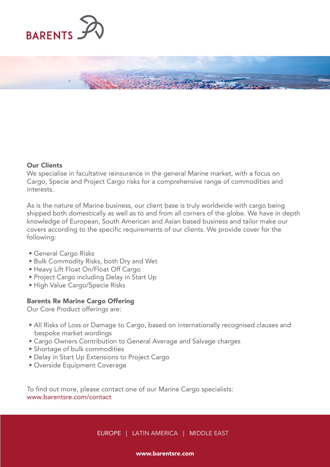

## Our Clients

We specialise in facultative reinsurance in the general Marine market, with a focus on Cargo, Specie and Project Cargo risks for a comprehensive range of commodities and interests.

As is the nature of Marine business, our client base is truly worldwide with cargo being shipped both domestically as well as to and from all corners of the globe. We have in depth knowledge of European, South American and Asian based business and tailor make our covers according to the specific requirements of our clients. We provide cover for the following:

- General Cargo Risks
- Bulk Commodity Risks, both Dry and Wet
- Heavy Lift Float On/Float Off Cargo
- Project Cargo including Delay in Start Up
- High Value Cargo/Specie Risks

# Barents Re Marine Cargo Offering

Our Core Product offerings are:

- All Risks of Loss or Damage to Cargo, based on internationally recognised clauses and bespoke market wordings
- Cargo Owners Contribution to General Average and Salvage charges
- Shortage of bulk commodities
- Delay in Start Up Extensions to Project Cargo
- Overside Equipment Coverage

To find out more, please contact one of our Marine Cargo specialists: www.barentsre.com/contact

EUROPE | LATIN AMERICA | MIDDLE EAST

### www.barentsre.com